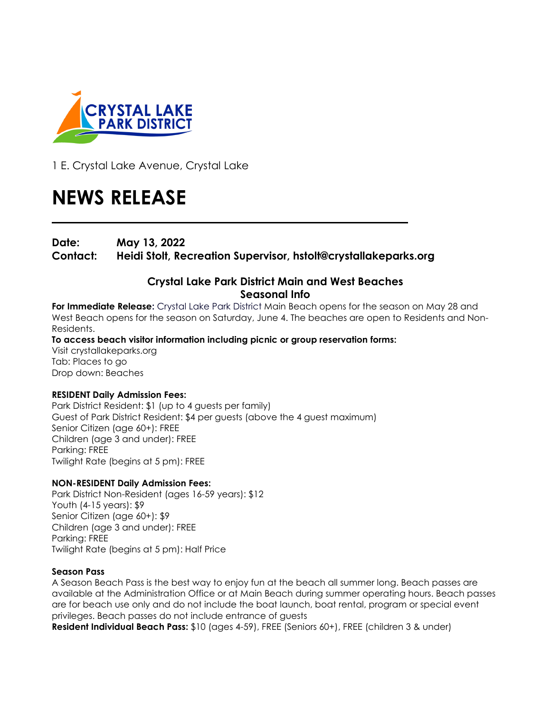

1 E. Crystal Lake Avenue, Crystal Lake

# **NEWS RELEASE**

**Date: May 13, 2022**

**Contact: Heidi Stolt, Recreation Supervisor, hstolt@crystallakeparks.org**

## **Crystal Lake Park District Main and West Beaches Seasonal Info**

**For Immediate Release:** Crystal Lake Park District Main Beach opens for the season on May 28 and West Beach opens for the season on Saturday, June 4. The beaches are open to Residents and Non-Residents.

**To access beach visitor information including picnic or group reservation forms:**  Visit crystallakeparks.org Tab: Places to go Drop down: Beaches

## **RESIDENT Daily Admission Fees:**

Park District Resident: \$1 (up to 4 guests per family) Guest of Park District Resident: \$4 per guests (above the 4 guest maximum) Senior Citizen (age 60+): FREE Children (age 3 and under): FREE Parking: FREE Twilight Rate (begins at 5 pm): FREE

## **NON-RESIDENT Daily Admission Fees:**

Park District Non-Resident (ages 16-59 years): \$12 Youth (4-15 years): \$9 Senior Citizen (age 60+): \$9 Children (age 3 and under): FREE Parking: FREE Twilight Rate (begins at 5 pm): Half Price

#### **Season Pass**

A Season Beach Pass is the best way to enjoy fun at the beach all summer long. Beach passes are available at the Administration Office or at Main Beach during summer operating hours. Beach passes are for beach use only and do not include the boat launch, boat rental, program or special event privileges. Beach passes do not include entrance of guests

**Resident Individual Beach Pass:** \$10 (ages 4-59), FREE (Seniors 60+), FREE (children 3 & under)